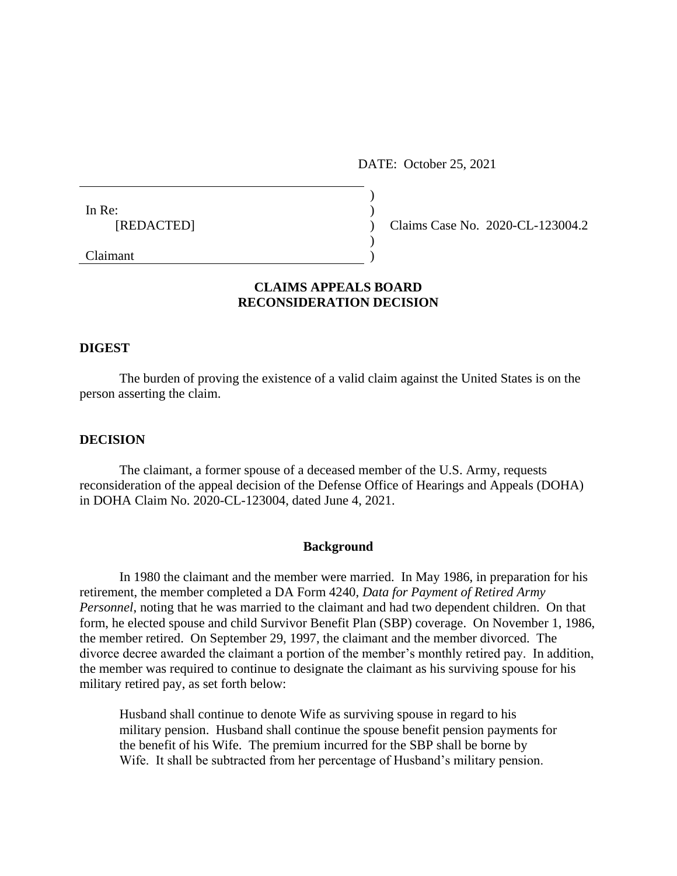DATE: October 25, 2021

| In Re:     |                                  |  |
|------------|----------------------------------|--|
|            |                                  |  |
| [REDACTED] | Claims Case No. 2020-CL-123004.2 |  |
|            |                                  |  |
| Claimant   |                                  |  |

# **CLAIMS APPEALS BOARD RECONSIDERATION DECISION**

### **DIGEST**

The burden of proving the existence of a valid claim against the United States is on the person asserting the claim.

# **DECISION**

The claimant, a former spouse of a deceased member of the U.S. Army, requests reconsideration of the appeal decision of the Defense Office of Hearings and Appeals (DOHA) in DOHA Claim No. 2020-CL-123004, dated June 4, 2021.

#### **Background**

In 1980 the claimant and the member were married. In May 1986, in preparation for his retirement, the member completed a DA Form 4240, *Data for Payment of Retired Army Personnel*, noting that he was married to the claimant and had two dependent children. On that form, he elected spouse and child Survivor Benefit Plan (SBP) coverage. On November 1, 1986, the member retired. On September 29, 1997, the claimant and the member divorced. The divorce decree awarded the claimant a portion of the member's monthly retired pay. In addition, the member was required to continue to designate the claimant as his surviving spouse for his military retired pay, as set forth below:

Husband shall continue to denote Wife as surviving spouse in regard to his military pension. Husband shall continue the spouse benefit pension payments for the benefit of his Wife. The premium incurred for the SBP shall be borne by Wife. It shall be subtracted from her percentage of Husband's military pension.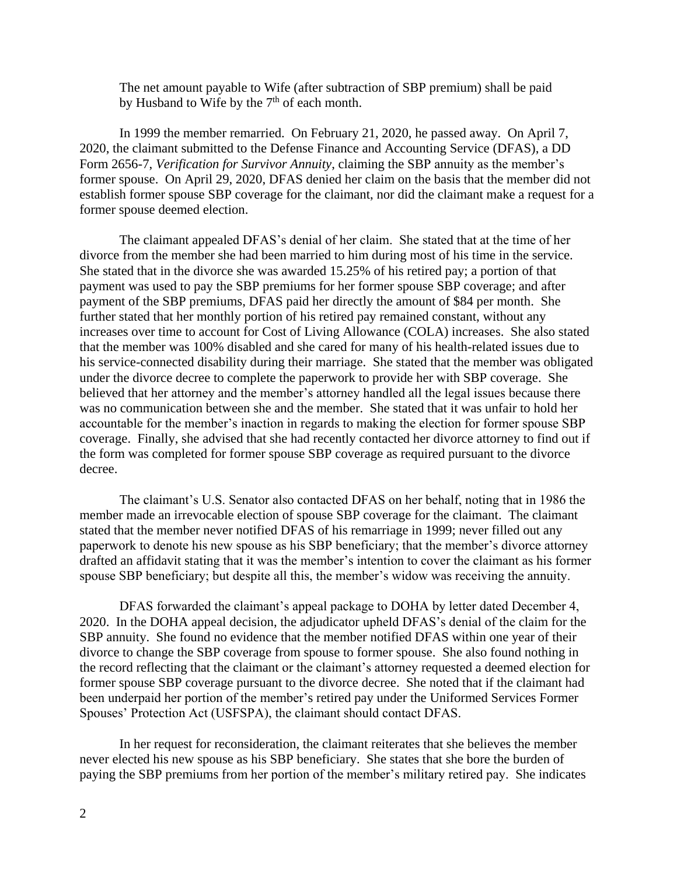The net amount payable to Wife (after subtraction of SBP premium) shall be paid by Husband to Wife by the  $7<sup>th</sup>$  of each month.

In 1999 the member remarried. On February 21, 2020, he passed away. On April 7, 2020, the claimant submitted to the Defense Finance and Accounting Service (DFAS), a DD Form 2656-7, *Verification for Survivor Annuity*, claiming the SBP annuity as the member's former spouse. On April 29, 2020, DFAS denied her claim on the basis that the member did not establish former spouse SBP coverage for the claimant, nor did the claimant make a request for a former spouse deemed election.

The claimant appealed DFAS's denial of her claim. She stated that at the time of her divorce from the member she had been married to him during most of his time in the service. She stated that in the divorce she was awarded 15.25% of his retired pay; a portion of that payment was used to pay the SBP premiums for her former spouse SBP coverage; and after payment of the SBP premiums, DFAS paid her directly the amount of \$84 per month. She further stated that her monthly portion of his retired pay remained constant, without any increases over time to account for Cost of Living Allowance (COLA) increases. She also stated that the member was 100% disabled and she cared for many of his health-related issues due to his service-connected disability during their marriage. She stated that the member was obligated under the divorce decree to complete the paperwork to provide her with SBP coverage. She believed that her attorney and the member's attorney handled all the legal issues because there was no communication between she and the member. She stated that it was unfair to hold her accountable for the member's inaction in regards to making the election for former spouse SBP coverage. Finally, she advised that she had recently contacted her divorce attorney to find out if the form was completed for former spouse SBP coverage as required pursuant to the divorce decree.

The claimant's U.S. Senator also contacted DFAS on her behalf, noting that in 1986 the member made an irrevocable election of spouse SBP coverage for the claimant. The claimant stated that the member never notified DFAS of his remarriage in 1999; never filled out any paperwork to denote his new spouse as his SBP beneficiary; that the member's divorce attorney drafted an affidavit stating that it was the member's intention to cover the claimant as his former spouse SBP beneficiary; but despite all this, the member's widow was receiving the annuity.

DFAS forwarded the claimant's appeal package to DOHA by letter dated December 4, 2020. In the DOHA appeal decision, the adjudicator upheld DFAS's denial of the claim for the SBP annuity. She found no evidence that the member notified DFAS within one year of their divorce to change the SBP coverage from spouse to former spouse. She also found nothing in the record reflecting that the claimant or the claimant's attorney requested a deemed election for former spouse SBP coverage pursuant to the divorce decree. She noted that if the claimant had been underpaid her portion of the member's retired pay under the Uniformed Services Former Spouses' Protection Act (USFSPA), the claimant should contact DFAS.

In her request for reconsideration, the claimant reiterates that she believes the member never elected his new spouse as his SBP beneficiary. She states that she bore the burden of paying the SBP premiums from her portion of the member's military retired pay. She indicates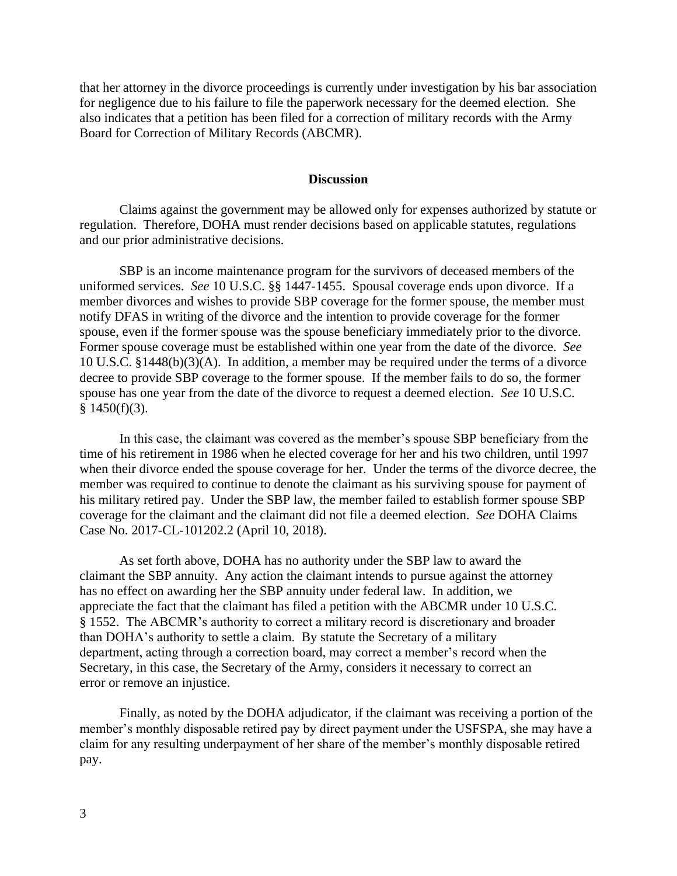that her attorney in the divorce proceedings is currently under investigation by his bar association for negligence due to his failure to file the paperwork necessary for the deemed election. She also indicates that a petition has been filed for a correction of military records with the Army Board for Correction of Military Records (ABCMR).

# **Discussion**

Claims against the government may be allowed only for expenses authorized by statute or regulation. Therefore, DOHA must render decisions based on applicable statutes, regulations and our prior administrative decisions.

SBP is an income maintenance program for the survivors of deceased members of the uniformed services. *See* 10 U.S.C. §§ 1447-1455. Spousal coverage ends upon divorce. If a member divorces and wishes to provide SBP coverage for the former spouse, the member must notify DFAS in writing of the divorce and the intention to provide coverage for the former spouse, even if the former spouse was the spouse beneficiary immediately prior to the divorce. Former spouse coverage must be established within one year from the date of the divorce. *See*  10 U.S.C. §1448(b)(3)(A). In addition, a member may be required under the terms of a divorce decree to provide SBP coverage to the former spouse. If the member fails to do so, the former spouse has one year from the date of the divorce to request a deemed election. *See* 10 U.S.C.  $§$  1450(f)(3).

In this case, the claimant was covered as the member's spouse SBP beneficiary from the time of his retirement in 1986 when he elected coverage for her and his two children, until 1997 when their divorce ended the spouse coverage for her. Under the terms of the divorce decree, the member was required to continue to denote the claimant as his surviving spouse for payment of his military retired pay. Under the SBP law, the member failed to establish former spouse SBP coverage for the claimant and the claimant did not file a deemed election. *See* DOHA Claims Case No. 2017-CL-101202.2 (April 10, 2018).

As set forth above, DOHA has no authority under the SBP law to award the claimant the SBP annuity. Any action the claimant intends to pursue against the attorney has no effect on awarding her the SBP annuity under federal law. In addition, we appreciate the fact that the claimant has filed a petition with the ABCMR under 10 U.S.C. § 1552. The ABCMR's authority to correct a military record is discretionary and broader than DOHA's authority to settle a claim. By statute the Secretary of a military department, acting through a correction board, may correct a member's record when the Secretary, in this case, the Secretary of the Army, considers it necessary to correct an error or remove an injustice.

Finally, as noted by the DOHA adjudicator, if the claimant was receiving a portion of the member's monthly disposable retired pay by direct payment under the USFSPA, she may have a claim for any resulting underpayment of her share of the member's monthly disposable retired pay.